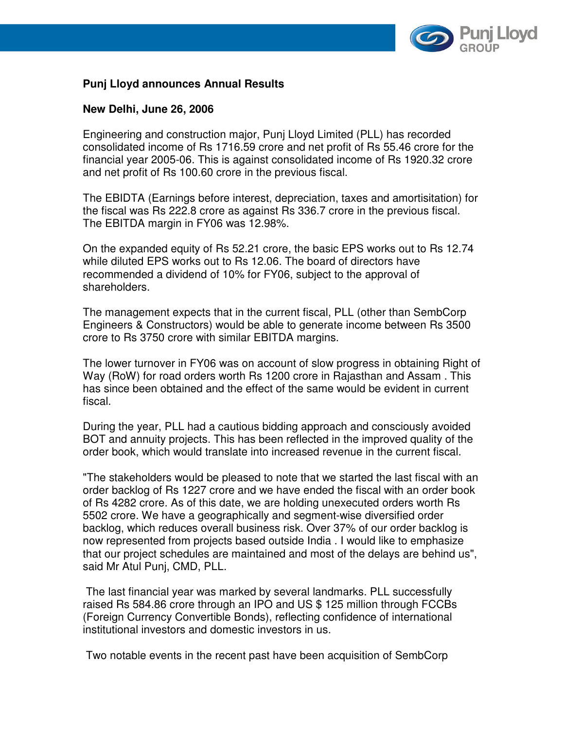

## **Punj Lloyd announces Annual Results**

### **New Delhi, June 26, 2006**

Engineering and construction major, Punj Lloyd Limited (PLL) has recorded consolidated income of Rs 1716.59 crore and net profit of Rs 55.46 crore for the financial year 2005-06. This is against consolidated income of Rs 1920.32 crore and net profit of Rs 100.60 crore in the previous fiscal.

The EBIDTA (Earnings before interest, depreciation, taxes and amortisitation) for the fiscal was Rs 222.8 crore as against Rs 336.7 crore in the previous fiscal. The EBITDA margin in FY06 was 12.98%.

On the expanded equity of Rs 52.21 crore, the basic EPS works out to Rs 12.74 while diluted EPS works out to Rs 12.06. The board of directors have recommended a dividend of 10% for FY06, subject to the approval of shareholders.

The management expects that in the current fiscal, PLL (other than SembCorp Engineers & Constructors) would be able to generate income between Rs 3500 crore to Rs 3750 crore with similar EBITDA margins.

The lower turnover in FY06 was on account of slow progress in obtaining Right of Way (RoW) for road orders worth Rs 1200 crore in Rajasthan and Assam . This has since been obtained and the effect of the same would be evident in current fiscal.

During the year, PLL had a cautious bidding approach and consciously avoided BOT and annuity projects. This has been reflected in the improved quality of the order book, which would translate into increased revenue in the current fiscal.

"The stakeholders would be pleased to note that we started the last fiscal with an order backlog of Rs 1227 crore and we have ended the fiscal with an order book of Rs 4282 crore. As of this date, we are holding unexecuted orders worth Rs 5502 crore. We have a geographically and segment-wise diversified order backlog, which reduces overall business risk. Over 37% of our order backlog is now represented from projects based outside India . I would like to emphasize that our project schedules are maintained and most of the delays are behind us", said Mr Atul Punj, CMD, PLL.

 The last financial year was marked by several landmarks. PLL successfully raised Rs 584.86 crore through an IPO and US \$ 125 million through FCCBs (Foreign Currency Convertible Bonds), reflecting confidence of international institutional investors and domestic investors in us.

Two notable events in the recent past have been acquisition of SembCorp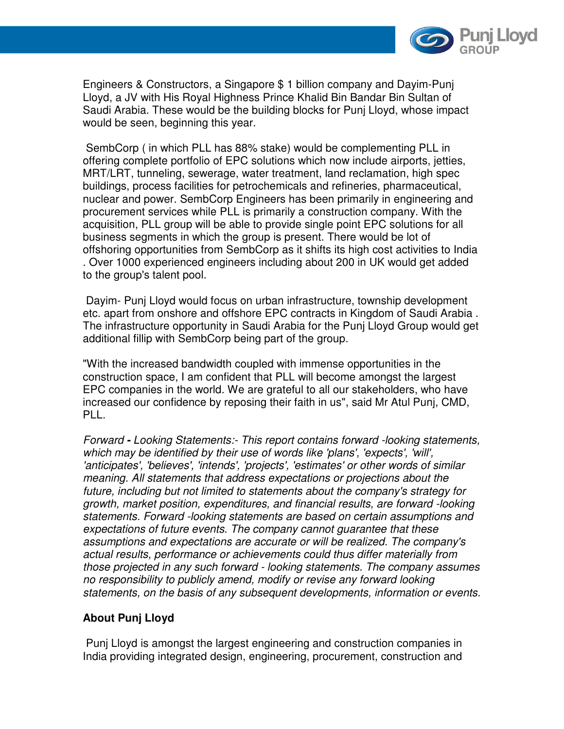

Engineers & Constructors, a Singapore \$ 1 billion company and Dayim-Punj Lloyd, a JV with His Royal Highness Prince Khalid Bin Bandar Bin Sultan of Saudi Arabia. These would be the building blocks for Punj Lloyd, whose impact would be seen, beginning this year.

 SembCorp ( in which PLL has 88% stake) would be complementing PLL in offering complete portfolio of EPC solutions which now include airports, jetties, MRT/LRT, tunneling, sewerage, water treatment, land reclamation, high spec buildings, process facilities for petrochemicals and refineries, pharmaceutical, nuclear and power. SembCorp Engineers has been primarily in engineering and procurement services while PLL is primarily a construction company. With the acquisition, PLL group will be able to provide single point EPC solutions for all business segments in which the group is present. There would be lot of offshoring opportunities from SembCorp as it shifts its high cost activities to India . Over 1000 experienced engineers including about 200 in UK would get added to the group's talent pool.

 Dayim- Punj Lloyd would focus on urban infrastructure, township development etc. apart from onshore and offshore EPC contracts in Kingdom of Saudi Arabia . The infrastructure opportunity in Saudi Arabia for the Punj Lloyd Group would get additional fillip with SembCorp being part of the group.

"With the increased bandwidth coupled with immense opportunities in the construction space, I am confident that PLL will become amongst the largest EPC companies in the world. We are grateful to all our stakeholders, who have increased our confidence by reposing their faith in us", said Mr Atul Punj, CMD, PLL.

Forward **-** Looking Statements:- This report contains forward -looking statements, which may be identified by their use of words like 'plans', 'expects', 'will', 'anticipates', 'believes', 'intends', 'projects', 'estimates' or other words of similar meaning. All statements that address expectations or projections about the future, including but not limited to statements about the company's strategy for growth, market position, expenditures, and financial results, are forward -looking statements. Forward -looking statements are based on certain assumptions and expectations of future events. The company cannot guarantee that these assumptions and expectations are accurate or will be realized. The company's actual results, performance or achievements could thus differ materially from those projected in any such forward - looking statements. The company assumes no responsibility to publicly amend, modify or revise any forward looking statements, on the basis of any subsequent developments, information or events.

## **About Punj Lloyd**

Punj Lloyd is amongst the largest engineering and construction companies in India providing integrated design, engineering, procurement, construction and